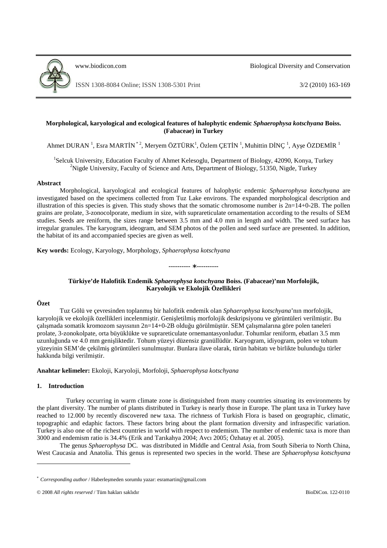

www.biodicon.com Biological Diversity and Conservation

# **Morphological, karyological and ecological features of halophytic endemic** *Sphaerophysa kotschyana* **Boiss. (Fabaceae) in Turkey**

Ahmet DURAN  $^1$ , Esra MARTİN  $^*$ <sup>2</sup>, Meryem ÖZTÜRK<sup>1</sup>, Özlem ÇETİN  $^1$ , Muhittin DİNÇ  $^1$ , Ayşe ÖZDEMİR  $^1$ 

<sup>1</sup>Selcuk University, Education Faculty of Ahmet Kelesoglu, Department of Biology, 42090, Konya, Turkey <sup>2</sup>Nigde University, Faculty of Science and Arts, Department of Biology, 51350, Nigde, Turkey

### **Abstract**

Morphological, karyological and ecological features of halophytic endemic *Sphaerophysa kotschyana* are investigated based on the specimens collected from Tuz Lake environs. The expanded morphological description and illustration of this species is given. This study shows that the somatic chromosome number is  $2n=14+0-2B$ . The pollen grains are prolate, 3-zonocolporate, medium in size, with suprareticulate ornamentation according to the results of SEM studies. Seeds are reniform, the sizes range between 3.5 mm and 4.0 mm in length and width. The seed surface has irregular granules. The karyogram, ideogram, and SEM photos of the pollen and seed surface are presented. In addition, the habitat of its and accompanied species are given as well.

**Key words:** Ecology, Karyology, Morphology, *Sphaerophysa kotschyana*

**----------** ∗ **----------** 

# **Türkiye'de Halofitik Endemik** *Sphaerophysa kotschyana* **Boiss. (Fabaceae)'nın Morfolojik, Karyolojik ve Ekolojik Özellikleri**

# **Özet**

Tuz Gölü ve çevresinden toplanmış bir halofitik endemik olan *Sphaerophysa kotschyana*'nın morfolojik, karyolojik ve ekolojik özellikleri incelenmiştir. Genişletilmiş morfolojik deskripsiyonu ve görüntüleri verilmiştir. Bu çalışmada somatik kromozom sayısının 2n=14+0-2B olduğu görülmüştür. SEM çalışmalarına göre polen taneleri prolate, 3-zonokolpate, orta büyüklükte ve suprareticulate ornemantasyonludur. Tohumlar reniform, ebatları 3.5 mm uzunluğunda ve 4.0 mm genişliktedir. Tohum yüzeyi düzensiz granüllüdür. Karyogram, idiyogram, polen ve tohum yüzeyinin SEM'de çekilmiş görüntüleri sunulmuştur. Bunlara ilave olarak, türün habitatı ve birlikte bulunduğu türler hakkında bilgi verilmiştir.

**Anahtar kelimeler:** Ekoloji, Karyoloji, Morfoloji, *Sphaerophysa kotschyana*

### **1. Introduction**

Turkey occurring in warm climate zone is distinguished from many countries situating its environments by the plant diversity. The number of plants distributed in Turkey is nearly those in Europe. The plant taxa in Turkey have reached to 12.000 by recently discovered new taxa. The richness of Turkish Flora is based on geographic, climatic, topographic and edaphic factors. These factors bring about the plant formation diversity and infraspecific variation. Turkey is also one of the richest countries in world with respect to endemism. The number of endemic taxa is more than 3000 and endemism ratio is 34.4% (Erik and Tarıkahya 2004; Avcı 2005; Özhatay et al. 2005).

The genus *Sphaerophysa* DC. was distributed in Middle and Central Asia, from South Siberia to North China, West Caucasia and Anatolia. This genus is represented two species in the world. These are *Sphaerophysa kotschyana*

<sup>\*</sup> *Corresponding author* / Haberleşmeden sorumlu yazar: esramartin@gmail.com

<sup>© 2008</sup> *All rights reserved* / Tüm hakları saklıdır BioDiCon. 122-0110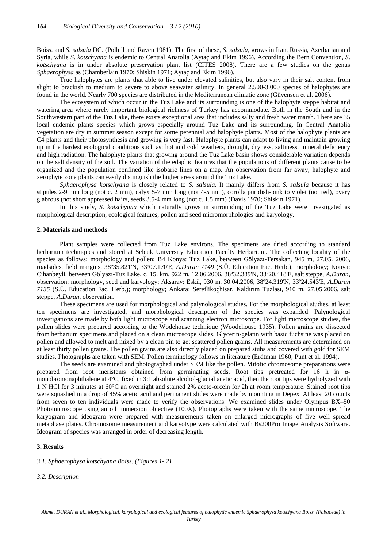Boiss. and *S*. *salsula* DC. (Polhill and Raven 1981). The first of these, *S*. *salsula*, grows in Iran, Russia, Azerbaijan and Syria, while *S*. *kotschyana* is endemic to Central Anatolia (Aytaç and Ekim 1996). According the Bern Convention, *S*. *kotschyana* is in under absolute preservation plant list (CITES 2008). There are a few studies on the genus *Sphaerophysa* as (Chamberlain 1970; Shiskin 1971; Aytaç and Ekim 1996).

True halophytes are plants that able to live under elevated salinities, but also vary in their salt content from slight to brackish to medium to severe to above seawater salinity. In general 2.500-3.000 species of halophytes are found in the world. Nearly 700 species are distributed in the Mediterranean climatic zone (Güvensen et al. 2006).

The ecosystem of which occur in the Tuz Lake and its surrounding is one of the halophyte steppe habitat and watering area where rarely important biological richness of Turkey has accommodate. Both in the South and in the Southwestern part of the Tuz Lake, there exists exceptional area that includes salty and fresh water marsh. There are 35 local endemic plants species which grows especially around Tuz Lake and its surrounding. In Central Anatolia vegetation are dry in summer season except for some perennial and halophyte plants. Most of the halophyte plants are C4 plants and their photosynthesis and growing is very fast. Halophyte plants can adapt to living and maintain growing up in the hardest ecological conditions such as: hot and cold weathers, drought, dryness, saltiness, mineral deficiency and high radiation. The halophyte plants that growing around the Tuz Lake basin shows considerable variation depends on the salt density of the soil. The variation of the edaphic features that the populations of different plants cause to be organized and the population confined like isobaric lines on a map. An observation from far away, halophyte and xerophyte zone plants can easily distinguish the higher areas around the Tuz Lake.

*Sphaerophysa kotschyana* is closely related to *S*. *salsula*. It mainly differs from *S*. *salsula* because it has stipules 2-9 mm long (not c. 2 mm), calyx 5-7 mm long (not 4-5 mm), corolla purplish-pink to violet (not red), ovary glabrous (not short appressed hairs, seeds 3.5-4 mm long (not c. 1.5 mm) (Davis 1970; Shiskin 1971).

In this study, *S. kotschyana* which naturally grows in surrounding of the Tuz Lake were investigated as morphological description, ecological features, pollen and seed micromorphologies and karyology.

#### **2. Materials and methods**

Plant samples were collected from Tuz Lake environs. The specimens are dried according to standard herbarium techniques and stored at Selcuk University Education Faculty Herbarium. The collecting locality of the species as follows; morphology and pollen; B4 Konya: Tuz Lake, between Gölyazı-Tersakan, 945 m, 27.05. 2006, roadsides, field margins, 38º35.821'N, 33º07.170'E, *A.Duran 7149* (S.Ü. Education Fac. Herb.); morphology; Konya: Cihanbeyli, between Gölyazı-Tuz Lake, c. 15. km, 922 m, 12.06.2006, 38º32.389'N, 33º20.418'E, salt steppe, *A.Duran*, observation; morphology, seed and karyology; Aksaray: Eskil, 930 m, 30.04.2006, 38º24.319'N, 33º24.543'E, *A.Duran 7135* (S.Ü. Education Fac. Herb.); morphology; Ankara: Sereflikoçhisar, Kaldırım Tuzlası, 910 m, 27.05.2006, salt steppe*, A.Duran*, observation.

These specimens are used for morphological and palynological studies. For the morphological studies, at least ten specimens are investigated, and morphological description of the species was expanded. Palynological investigations are made by both light microscope and scanning electron microscope. For light microscope studies, the pollen slides were prepared according to the Wodehouse technique (Woodehouse 1935). Pollen grains are dissected from herbarium specimens and placed on a clean microscope slides. Glycerin-gelatin with basic fuchsine was placed on pollen and allowed to melt and mixed by a clean pin to get scattered pollen grains. All measurements are determined on at least thirty pollen grains. The pollen grains are also directly placed on prepared stubs and covered with gold for SEM studies. Photographs are taken with SEM. Pollen terminology follows in literature (Erdtman 1960; Punt et al. 1994).

The seeds are examined and photographed under SEM like the pollen. Mitotic chromosome preparations were prepared from root meristems obtained from germinating seeds. Root tips pretreated for 16 h in  $\alpha$ monobromonaphthalene at 4°C, fixed in 3:1 absolute alcohol-glacial acetic acid, then the root tips were hydrolyzed with 1 N HCl for 3 minutes at 60°C an overnight and stained 2% aceto-orcein for 2h at room temperature. Stained root tips were squashed in a drop of 45% acetic acid and permanent slides were made by mounting in Depex. At least 20 counts from seven to ten individuals were made to verify the observations. We examined slides under Olympus BX–50 Photomicroscope using an oil immersion objective (100X). Photographs were taken with the same microscope. The karyogram and ideogram were prepared with measurements taken on enlarged micrographs of five well spread metaphase plates. Chromosome measurement and karyotype were calculated with Bs200Pro Image Analysis Software. Ideogram of species was arranged in order of decreasing length.

## **3. Results**

#### *3.1. Sphaerophysa kotschyana Boiss. (Figures 1- 2).*

*3.2. Description*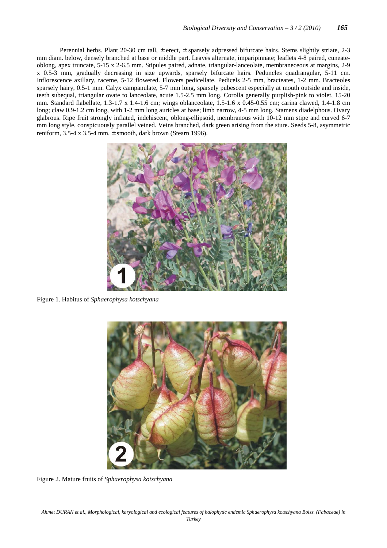Perennial herbs. Plant 20-30 cm tall, ± erect, ± sparsely adpressed bifurcate hairs. Stems slightly striate, 2-3 mm diam. below, densely branched at base or middle part. Leaves alternate, imparipinnate; leaflets 4-8 paired, cuneateoblong, apex truncate, 5-15 x 2-6.5 mm. Stipules paired, adnate, triangular-lanceolate, membraneceous at margins, 2-9 x 0.5-3 mm, gradually decreasing in size upwards, sparsely bifurcate hairs. Peduncles quadrangular, 5-11 cm. Inflorescence axillary, raceme, 5-12 flowered. Flowers pedicellate. Pedicels 2-5 mm, bracteates, 1-2 mm. Bracteoles sparsely hairy, 0.5-1 mm. Calyx campanulate, 5-7 mm long, sparsely pubescent especially at mouth outside and inside, teeth subequal, triangular ovate to lanceolate, acute 1.5-2.5 mm long. Corolla generally purplish-pink to violet, 15-20 mm. Standard flabellate, 1.3-1.7 x 1.4-1.6 cm; wings oblanceolate, 1.5-1.6 x 0.45-0.55 cm; carina clawed, 1.4-1.8 cm long; claw 0.9-1.2 cm long, with 1-2 mm long auricles at base; limb narrow, 4-5 mm long. Stamens diadelphous. Ovary glabrous. Ripe fruit strongly inflated, indehiscent, oblong-ellipsoid, membranous with 10-12 mm stipe and curved 6-7 mm long style, conspicuously parallel veined. Veins branched, dark green arising from the sture. Seeds 5-8, asymmetric reniform,  $3.5-4 \times 3.5-4$  mm,  $\pm$  smooth, dark brown (Stearn 1996).



Figure 1. Habitus of *Sphaerophysa kotschyana*



Figure 2. Mature fruits of *Sphaerophysa kotschyana*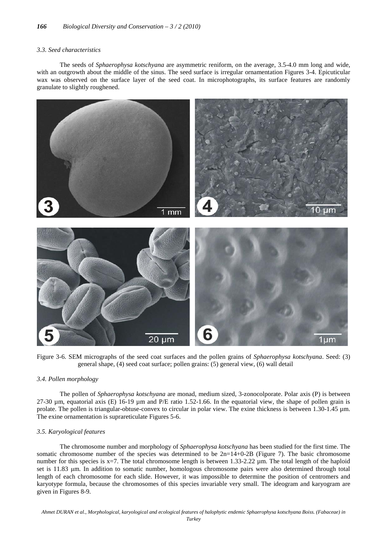### *3.3. Seed characteristics*

The seeds of *Sphaerophysa kotschyana* are asymmetric reniform, on the average, 3.5-4.0 mm long and wide, with an outgrowth about the middle of the sinus. The seed surface is irregular ornamentation Figures 3-4. Epicuticular wax was observed on the surface layer of the seed coat. In microphotographs, its surface features are randomly granulate to slightly roughened.



Figure 3-6. SEM micrographs of the seed coat surfaces and the pollen grains of *Sphaerophysa kotschyana*. Seed: (3) general shape, (4) seed coat surface; pollen grains: (5) general view, (6) wall detail

### *3.4. Pollen morphology*

The pollen of *Sphaerophysa kotschyana* are monad, medium sized, 3-zonocolporate. Polar axis (P) is between 27-30  $\mu$ m, equatorial axis (E) 16-19  $\mu$ m and P/E ratio 1.52-1.66. In the equatorial view, the shape of pollen grain is prolate. The pollen is triangular-obtuse-convex to circular in polar view. The exine thickness is between 1.30-1.45 µm. The exine ornamentation is suprareticulate Figures 5-6.

# *3.5. Karyological features*

The chromosome number and morphology of *Sphaerophysa kotschyana* has been studied for the first time. The somatic chromosome number of the species was determined to be  $2n=14+0-2B$  (Figure 7). The basic chromosome number for this species is x=7. The total chromosome length is between 1.33-2.22  $\mu$ m. The total length of the haploid set is 11.83 µm. In addition to somatic number, homologous chromosome pairs were also determined through total length of each chromosome for each slide. However, it was impossible to determine the position of centromers and karyotype formula, because the chromosomes of this species invariable very small. The ideogram and karyogram are given in Figures 8-9.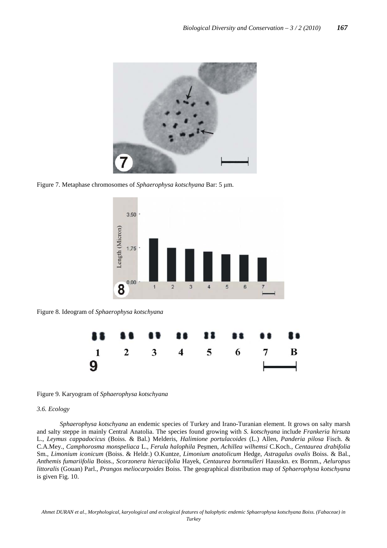

Figure 7. Metaphase chromosomes of *Sphaerophysa kotschyana* Bar: 5 µm.



Figure 8. Ideogram of *Sphaerophysa kotschyana*



Figure 9. Karyogram of *Sphaerophysa kotschyana*

# *3.6. Ecology*

*Sphaerophysa kotschyana* an endemic species of Turkey and Irano-Turanian element. It grows on salty marsh and salty steppe in mainly Central Anatolia. The species found growing with *S. kotschyana* include *Frankeria hirsuta* L., *Leymus cappadocicus* (Boiss. & Bal.) Melderis, *Halimione portulacoides* (L.) Allen, *Panderia pilosa* Fisch. & C.A.Mey., *Camphorosma monspeliaca* L., *Ferula halophila* Peşmen, *Achillea wilhemsi* C.Koch., *Centaurea drabifolia* Sm., *Limonium iconicum* (Boiss. & Heldr.) O.Kuntze, *Limonium anatolicum* Hedge, *Astragalus ovalis* Boiss. & Bal., *Anthemis fumariifolia* Boiss., *Scorzonera hieraciifolia* Hayek, *Centaurea bornmulleri* Hausskn. ex Bornm., *Aeluropus littoralis* (Gouan) Parl., *Prangos meliocarpoides* Boiss. The geographical distribution map of *Sphaerophysa kotschyana* is given Fig. 10.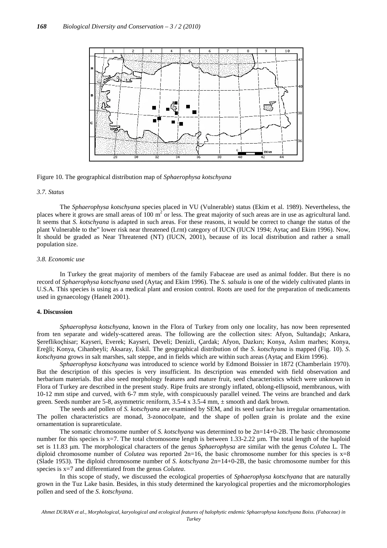

Figure 10. The geographical distribution map of *Sphaerophysa kotschyana*

# *3.7. Status*

The *Sphaerophysa kotschyana* species placed in VU (Vulnerable) status (Ekim et al. 1989). Nevertheless, the places where it grows are small areas of  $100 \text{ m}^2$  or less. The great majority of such areas are in use as agricultural land. It seems that *S. kotschyana* is adapted in such areas. For these reasons, it would be correct to change the status of the plant Vulnerable to the" lower risk near threatened (Lrnt) category of IUCN (IUCN 1994; Aytaç and Ekim 1996). Now, It should be graded as Near Threatened (NT) (IUCN, 2001), because of its local distribution and rather a small population size.

## *3.8. Economic use*

In Turkey the great majority of members of the family Fabaceae are used as animal fodder. But there is no record of *Sphaerophysa kotschyana* used (Aytaç and Ekim 1996). The *S. salsula* is one of the widely cultivated plants in U.S.A. This species is using as a medical plant and erosion control. Roots are used for the preparation of medicaments used in gynaecology (Hanelt 2001).

#### **4. Discussion**

*Sphaerophysa kotschyana*, known in the Flora of Turkey from only one locality, has now been represented from ten separate and widely-scattered areas. The following are the collection sites: Afyon, Sultandağı; Ankara, Şereflikoçhisar; Kayseri, Everek; Kayseri, Develi; Denizli, Çardak; Afyon, Dazkırı; Konya, Aslım marhes; Konya, Ereğli; Konya, Cihanbeyli; Aksaray, Eskil. The geographical distribution of the *S*. *kotschyana* is mapped (Fig. 10). *S*. *kotschyana* grows in salt marshes, salt steppe, and in fields which are within such areas (Aytaç and Ekim 1996).

*Sphaerophysa kotschyana* was introduced to science world by Edmond Boissier in 1872 (Chamberlain 1970). But the description of this species is very insufficient. Its description was emended with field observation and herbarium materials. But also seed morphology features and mature fruit, seed characteristics which were unknown in Flora of Turkey are described in the present study. Ripe fruits are strongly inflated, oblong-ellipsoid, membranous, with 10-12 mm stipe and curved, with 6-7 mm style, with conspicuously parallel veined. The veins are branched and dark green. Seeds number are 5-8, asymmetric reniform,  $3.5-4 \times 3.5-4 \text{ mm}$ ,  $\pm$  smooth and dark brown.

The seeds and pollen of *S. kotschyana* are examined by SEM, and its seed surface has irregular ornamentation. The pollen characteristics are monad, 3-zonocolpate, and the shape of pollen grain is prolate and the exine ornamentation is suprareticulate.

The somatic chromosome number of *S. kotschyana* was determined to be 2n=14+0-2B. The basic chromosome number for this species is  $x=7$ . The total chromosome length is between 1.33-2.22  $\mu$ m. The total length of the haploid set is 11.83 µm. The morphological characters of the genus *Sphaerophysa* are similar with the genus *Colutea* L*.* The diploid chromosome number of *Colutea* was reported  $2n=16$ , the basic chromosome number for this species is  $x=8$ (Slade 1953). The diploid chromosome number of *S. kotschyana* 2n=14+0-2B, the basic chromosome number for this species is x=7 and differentiated from the genus *Colutea*.

In this scope of study, we discussed the ecological properties of *Sphaerophysa kotschyana* that are naturally grown in the Tuz Lake basin. Besides, in this study determined the karyological properties and the micromorphologies pollen and seed of the *S. kotschyana*.